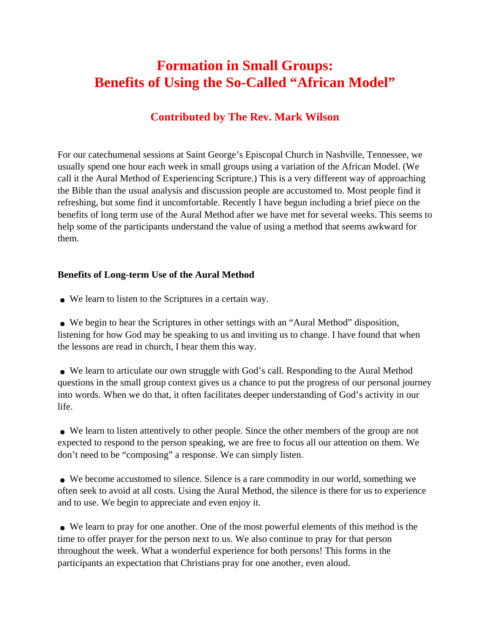## **Formation in Small Groups: Benefits of Using the So-Called "African Model"**

## **Contributed by The Rev. Mark Wilson**

For our catechumenal sessions at Saint George's Episcopal Church in Nashville, Tennessee, we usually spend one hour each week in small groups using a variation of the African Model. (We call it the Aural Method of Experiencing Scripture.) This is a very different way of approaching the Bible than the usual analysis and discussion people are accustomed to. Most people find it refreshing, but some find it uncomfortable. Recently I have begun including a brief piece on the benefits of long term use of the Aural Method after we have met for several weeks. This seems to help some of the participants understand the value of using a method that seems awkward for them.

## **Benefits of Long-term Use of the Aural Method**

● We learn to listen to the Scriptures in a certain way.

• We begin to hear the Scriptures in other settings with an "Aural Method" disposition, listening for how God may be speaking to us and inviting us to change. I have found that when the lessons are read in church, I hear them this way.

• We learn to articulate our own struggle with God's call. Responding to the Aural Method questions in the small group context gives us a chance to put the progress of our personal journey into words. When we do that, it often facilitates deeper understanding of God's activity in our life.

• We learn to listen attentively to other people. Since the other members of the group are not expected to respond to the person speaking, we are free to focus all our attention on them. We don't need to be "composing" a response. We can simply listen.

• We become accustomed to silence. Silence is a rare commodity in our world, something we often seek to avoid at all costs. Using the Aural Method, the silence is there for us to experience and to use. We begin to appreciate and even enjoy it.

• We learn to pray for one another. One of the most powerful elements of this method is the time to offer prayer for the person next to us. We also continue to pray for that person throughout the week. What a wonderful experience for both persons! This forms in the participants an expectation that Christians pray for one another, even aloud.